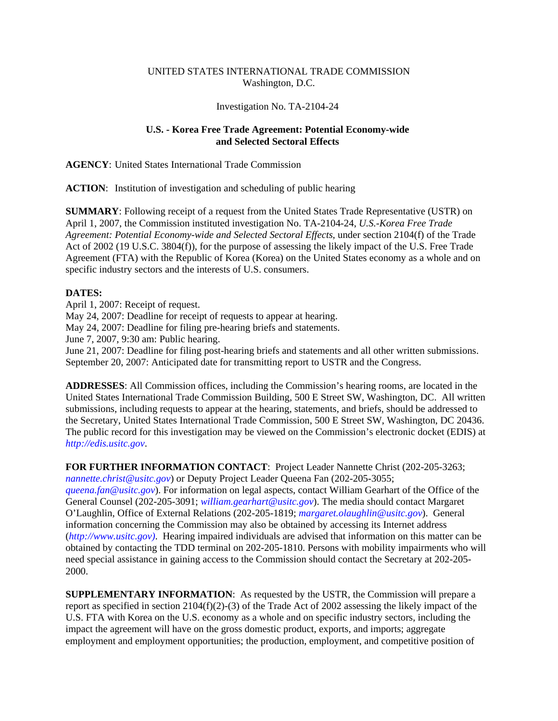## UNITED STATES INTERNATIONAL TRADE COMMISSION Washington, D.C.

## Investigation No. TA-2104-24

## **U.S. - Korea Free Trade Agreement: Potential Economy-wide and Selected Sectoral Effects**

**AGENCY**: United States International Trade Commission

**ACTION**: Institution of investigation and scheduling of public hearing

**SUMMARY**: Following receipt of a request from the United States Trade Representative (USTR) on April 1, 2007, the Commission instituted investigation No. TA-2104-24, *U.S.-Korea Free Trade Agreement: Potential Economy-wide and Selected Sectoral Effects*, under section 2104(f) of the Trade Act of 2002 (19 U.S.C. 3804(f)), for the purpose of assessing the likely impact of the U.S. Free Trade Agreement (FTA) with the Republic of Korea (Korea) on the United States economy as a whole and on specific industry sectors and the interests of U.S. consumers.

## **DATES:**

April 1, 2007: Receipt of request. May 24, 2007: Deadline for receipt of requests to appear at hearing. May 24, 2007: Deadline for filing pre-hearing briefs and statements. June 7, 2007, 9:30 am: Public hearing. June 21, 2007: Deadline for filing post-hearing briefs and statements and all other written submissions. September 20, 2007: Anticipated date for transmitting report to USTR and the Congress.

**ADDRESSES**: All Commission offices, including the Commission's hearing rooms, are located in the United States International Trade Commission Building, 500 E Street SW, Washington, DC. All written submissions, including requests to appear at the hearing, statements, and briefs, should be addressed to the Secretary, United States International Trade Commission, 500 E Street SW, Washington, DC 20436. The public record for this investigation may be viewed on the Commission's electronic docket (EDIS) at *http://edis.usitc.gov*.

**FOR FURTHER INFORMATION CONTACT**: Project Leader Nannette Christ (202-205-3263; *nannette.christ@usitc.gov*) or Deputy Project Leader Queena Fan (202-205-3055; *queena.fan@usitc.gov*). For information on legal aspects, contact William Gearhart of the Office of the General Counsel (202-205-3091; *william.gearhart@usitc.gov*). The media should contact Margaret O'Laughlin, Office of External Relations (202-205-1819; *margaret.olaughlin@usitc.gov*). General information concerning the Commission may also be obtained by accessing its Internet address (*http://www.usitc.gov)*. Hearing impaired individuals are advised that information on this matter can be obtained by contacting the TDD terminal on 202-205-1810. Persons with mobility impairments who will need special assistance in gaining access to the Commission should contact the Secretary at 202-205- 2000.

**SUPPLEMENTARY INFORMATION**: As requested by the USTR, the Commission will prepare a report as specified in section 2104(f)(2)-(3) of the Trade Act of 2002 assessing the likely impact of the U.S. FTA with Korea on the U.S. economy as a whole and on specific industry sectors, including the impact the agreement will have on the gross domestic product, exports, and imports; aggregate employment and employment opportunities; the production, employment, and competitive position of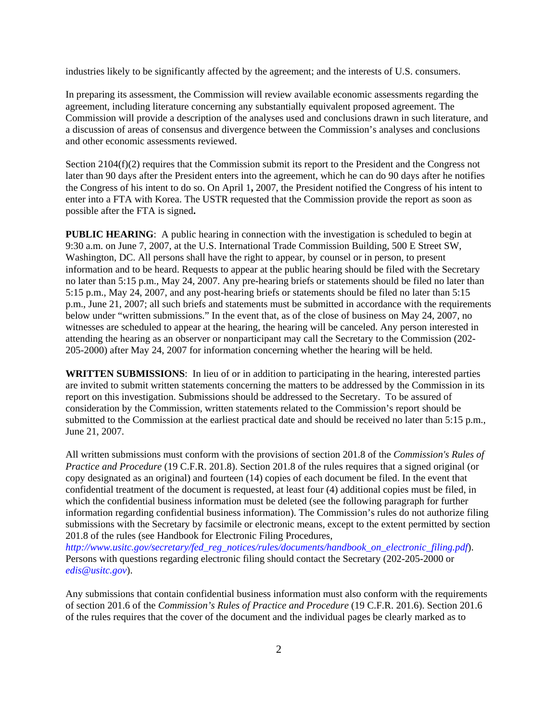industries likely to be significantly affected by the agreement; and the interests of U.S. consumers.

In preparing its assessment, the Commission will review available economic assessments regarding the agreement, including literature concerning any substantially equivalent proposed agreement. The Commission will provide a description of the analyses used and conclusions drawn in such literature, and a discussion of areas of consensus and divergence between the Commission's analyses and conclusions and other economic assessments reviewed.

Section 2104(f)(2) requires that the Commission submit its report to the President and the Congress not later than 90 days after the President enters into the agreement, which he can do 90 days after he notifies the Congress of his intent to do so. On April 1**,** 2007, the President notified the Congress of his intent to enter into a FTA with Korea. The USTR requested that the Commission provide the report as soon as possible after the FTA is signed**.**

**PUBLIC HEARING:** A public hearing in connection with the investigation is scheduled to begin at 9:30 a.m. on June 7, 2007, at the U.S. International Trade Commission Building, 500 E Street SW, Washington, DC. All persons shall have the right to appear, by counsel or in person, to present information and to be heard. Requests to appear at the public hearing should be filed with the Secretary no later than 5:15 p.m., May 24, 2007. Any pre-hearing briefs or statements should be filed no later than 5:15 p.m., May 24, 2007, and any post-hearing briefs or statements should be filed no later than 5:15 p.m., June 21, 2007; all such briefs and statements must be submitted in accordance with the requirements below under "written submissions." In the event that, as of the close of business on May 24, 2007, no witnesses are scheduled to appear at the hearing, the hearing will be canceled. Any person interested in attending the hearing as an observer or nonparticipant may call the Secretary to the Commission (202- 205-2000) after May 24, 2007 for information concerning whether the hearing will be held.

**WRITTEN SUBMISSIONS**: In lieu of or in addition to participating in the hearing, interested parties are invited to submit written statements concerning the matters to be addressed by the Commission in its report on this investigation. Submissions should be addressed to the Secretary. To be assured of consideration by the Commission, written statements related to the Commission's report should be submitted to the Commission at the earliest practical date and should be received no later than 5:15 p.m., June 21, 2007.

All written submissions must conform with the provisions of section 201.8 of the *Commission's Rules of Practice and Procedure* (19 C.F.R. 201.8). Section 201.8 of the rules requires that a signed original (or copy designated as an original) and fourteen (14) copies of each document be filed. In the event that confidential treatment of the document is requested, at least four (4) additional copies must be filed, in which the confidential business information must be deleted (see the following paragraph for further information regarding confidential business information). The Commission's rules do not authorize filing submissions with the Secretary by facsimile or electronic means, except to the extent permitted by section 201.8 of the rules (see Handbook for Electronic Filing Procedures,

*http://www.usitc.gov/secretary/fed\_reg\_notices/rules/documents/handbook\_on\_electronic\_filing.pdf*). Persons with questions regarding electronic filing should contact the Secretary (202-205-2000 or *edis@usitc.gov*).

Any submissions that contain confidential business information must also conform with the requirements of section 201.6 of the *Commission's Rules of Practice and Procedure* (19 C.F.R. 201.6). Section 201.6 of the rules requires that the cover of the document and the individual pages be clearly marked as to